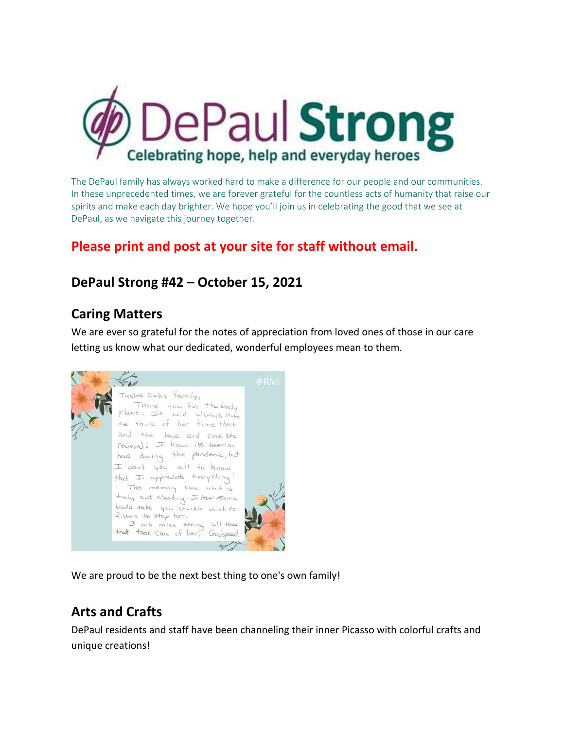

The DePaul family has always worked hard to make a difference for our people and our communities. In these unprecedented times, we are forever grateful for the countless acts of humanity that raise our spirits and make each day brighter. We hope you'll join us in celebrating the good that we see at DePaul, as we navigate this journey together.

### **Please print and post at your site for staff without email.**

### **DePaul Strong #42 – October 15, 2021**

#### **Caring Matters**

We are ever so grateful for the notes of appreciation from loved ones of those in our care letting us know what our dedicated, wonderful employees mean to them.

welve Oaks tanily, Thank you for the lovely plant, It will always mat me think of her time there and the love and care she recieval! I know its been so hord during the pandamic, but I want you all to know that I appreciate everything! The memory care unit is truly out standing. I trow Mama would make you chuckle with no filters to stop her. I will miss seeing all those<br>that took care of her! Godspred,

We are proud to be the next best thing to one's own family!

## **Arts and Crafts**

DePaul residents and staff have been channeling their inner Picasso with colorful crafts and unique creations!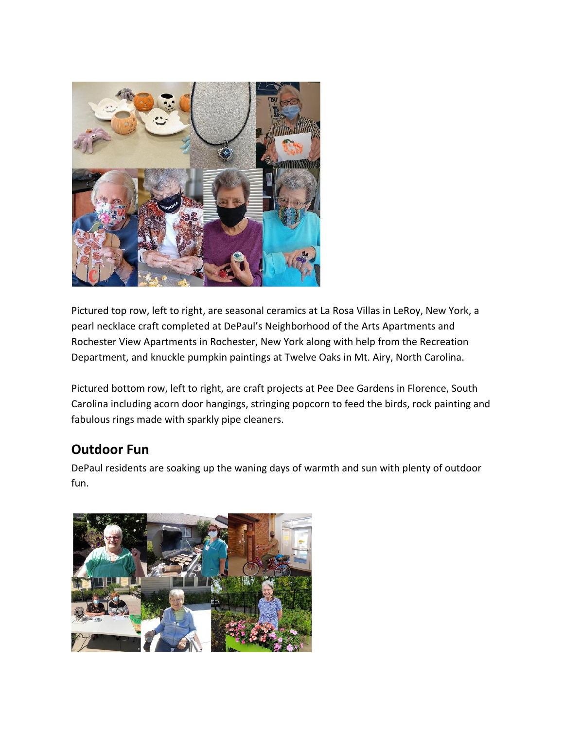

Pictured top row, left to right, are seasonal ceramics at La Rosa Villas in LeRoy, New York, a pearl necklace craft completed at DePaul's Neighborhood of the Arts Apartments and Rochester View Apartments in Rochester, New York along with help from the Recreation Department, and knuckle pumpkin paintings at Twelve Oaks in Mt. Airy, North Carolina.

Pictured bottom row, left to right, are craft projects at Pee Dee Gardens in Florence, South Carolina including acorn door hangings, stringing popcorn to feed the birds, rock painting and fabulous rings made with sparkly pipe cleaners.

### **Outdoor Fun**

DePaul residents are soaking up the waning days of warmth and sun with plenty of outdoor fun.

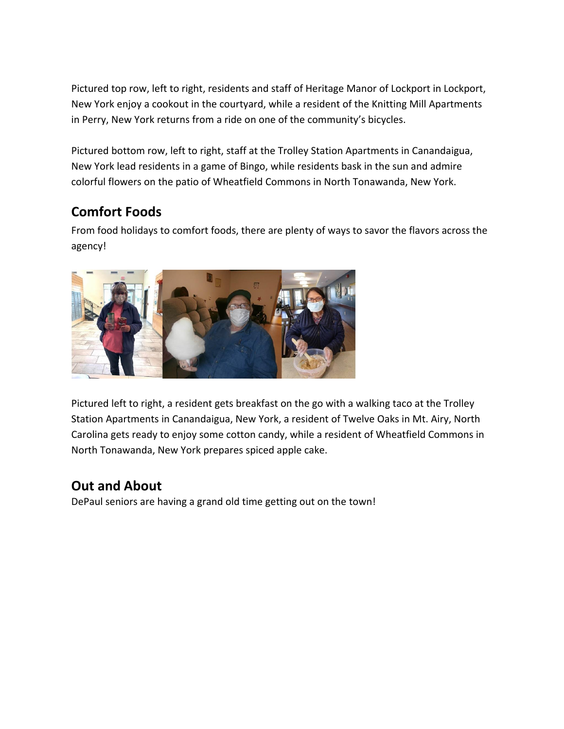Pictured top row, left to right, residents and staff of Heritage Manor of Lockport in Lockport, New York enjoy a cookout in the courtyard, while a resident of the Knitting Mill Apartments in Perry, New York returns from a ride on one of the community's bicycles.

Pictured bottom row, left to right, staff at the Trolley Station Apartments in Canandaigua, New York lead residents in a game of Bingo, while residents bask in the sun and admire colorful flowers on the patio of Wheatfield Commons in North Tonawanda, New York.

## **Comfort Foods**

From food holidays to comfort foods, there are plenty of ways to savor the flavors across the agency!



Pictured left to right, a resident gets breakfast on the go with a walking taco at the Trolley Station Apartments in Canandaigua, New York, a resident of Twelve Oaks in Mt. Airy, North Carolina gets ready to enjoy some cotton candy, while a resident of Wheatfield Commons in North Tonawanda, New York prepares spiced apple cake.

### **Out and About**

DePaul seniors are having a grand old time getting out on the town!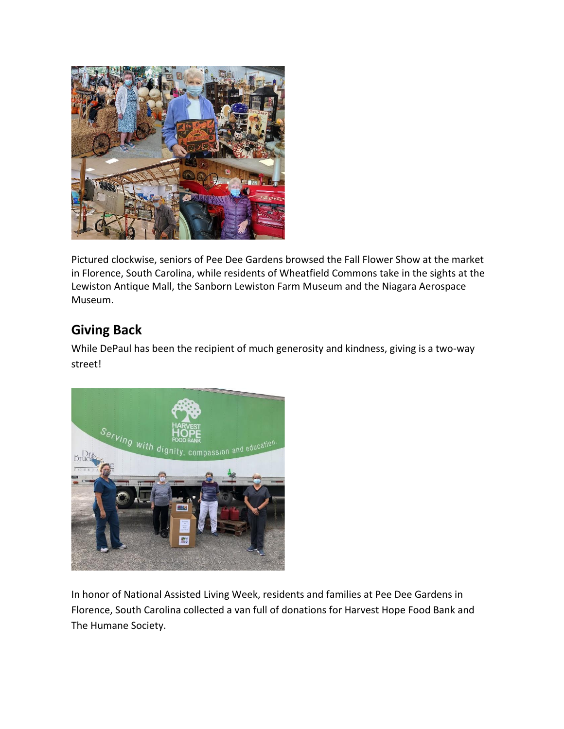

Pictured clockwise, seniors of Pee Dee Gardens browsed the Fall Flower Show at the market in Florence, South Carolina, while residents of Wheatfield Commons take in the sights at the Lewiston Antique Mall, the Sanborn Lewiston Farm Museum and the Niagara Aerospace Museum.

### **Giving Back**

While DePaul has been the recipient of much generosity and kindness, giving is a two-way street!



In honor of National Assisted Living Week, residents and families at Pee Dee Gardens in Florence, South Carolina collected a van full of donations for Harvest Hope Food Bank and The Humane Society.